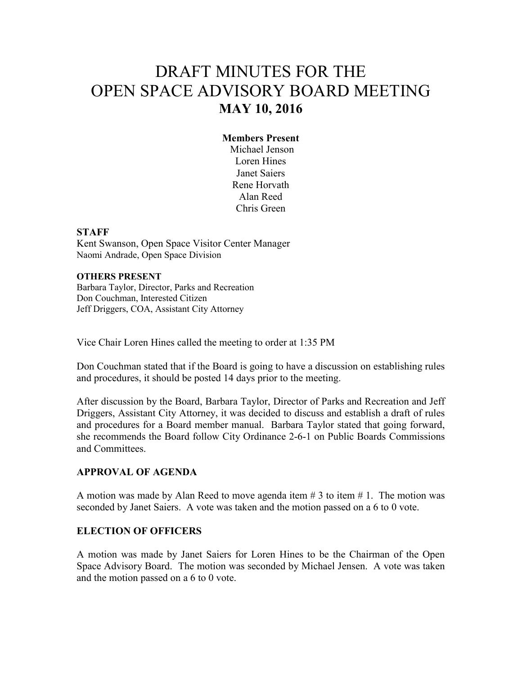# DRAFT MINUTES FOR THE OPEN SPACE ADVISORY BOARD MEETING **MAY 10, 2016**

# **Members Present**

 Michael Jenson Loren Hines Janet Saiers Rene Horvath Alan Reed Chris Green

#### **STAFF**

Kent Swanson, Open Space Visitor Center Manager Naomi Andrade, Open Space Division

#### **OTHERS PRESENT**

Barbara Taylor, Director, Parks and Recreation Don Couchman, Interested Citizen Jeff Driggers, COA, Assistant City Attorney

Vice Chair Loren Hines called the meeting to order at 1:35 PM

Don Couchman stated that if the Board is going to have a discussion on establishing rules and procedures, it should be posted 14 days prior to the meeting.

After discussion by the Board, Barbara Taylor, Director of Parks and Recreation and Jeff Driggers, Assistant City Attorney, it was decided to discuss and establish a draft of rules and procedures for a Board member manual. Barbara Taylor stated that going forward, she recommends the Board follow City Ordinance 2-6-1 on Public Boards Commissions and Committees.

#### **APPROVAL OF AGENDA**

A motion was made by Alan Reed to move agenda item  $\# 3$  to item  $\# 1$ . The motion was seconded by Janet Saiers. A vote was taken and the motion passed on a 6 to 0 vote.

#### **ELECTION OF OFFICERS**

A motion was made by Janet Saiers for Loren Hines to be the Chairman of the Open Space Advisory Board. The motion was seconded by Michael Jensen. A vote was taken and the motion passed on a 6 to 0 vote.